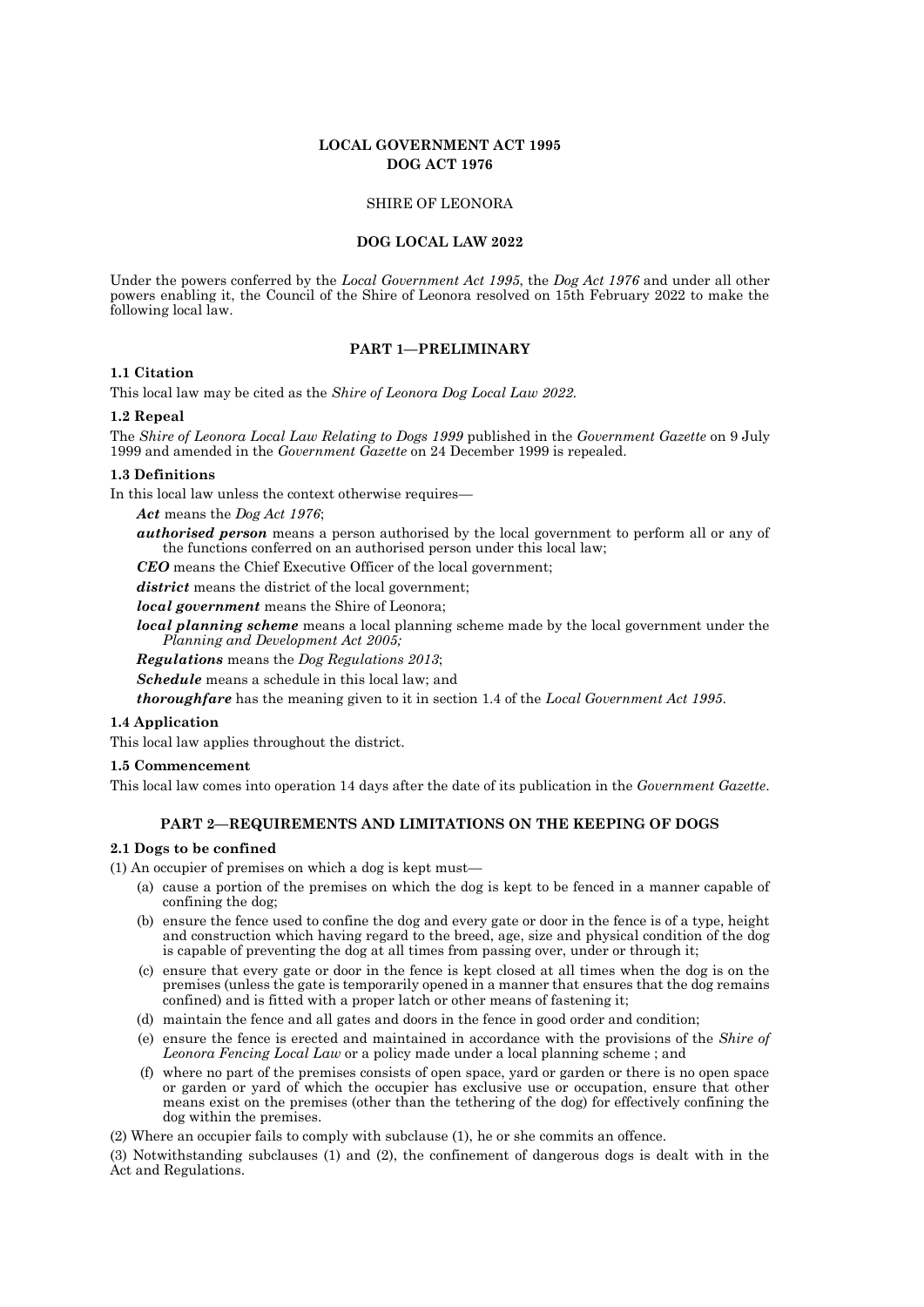# **LOCAL GOVERNMENT ACT 1995 DOG ACT 1976**

### SHIRE OF LEONORA

### **DOG LOCAL LAW 2022**

Under the powers conferred by the *Local Government Act 1995*, the *Dog Act 1976* and under all other powers enabling it, the Council of the Shire of Leonora resolved on 15th February 2022 to make the following local law.

# **PART 1—PRELIMINARY**

### **1.1 Citation**

This local law may be cited as the *Shire of Leonora Dog Local Law 2022.*

#### **1.2 Repeal**

The *Shire of Leonora Local Law Relating to Dogs 1999* published in the *Government Gazette* on 9 July 1999 and amended in the *Government Gazette* on 24 December 1999 is repealed.

### **1.3 Definitions**

In this local law unless the context otherwise requires—

#### *Act* means the *Dog Act 1976*;

*authorised person* means a person authorised by the local government to perform all or any of the functions conferred on an authorised person under this local law;

*CEO* means the Chief Executive Officer of the local government;

*district* means the district of the local government;

*local government* means the Shire of Leonora;

*local planning scheme* means a local planning scheme made by the local government under the *Planning and Development Act 2005;*

*Regulations* means the *Dog Regulations 2013*;

*Schedule* means a schedule in this local law; and

*thoroughfare* has the meaning given to it in section 1.4 of the *Local Government Act 1995*.

### **1.4 Application**

This local law applies throughout the district.

#### **1.5 Commencement**

This local law comes into operation 14 days after the date of its publication in the *Government Gazette*.

### **PART 2—REQUIREMENTS AND LIMITATIONS ON THE KEEPING OF DOGS**

#### **2.1 Dogs to be confined**

(1) An occupier of premises on which a dog is kept must—

- (a) cause a portion of the premises on which the dog is kept to be fenced in a manner capable of confining the dog;
- (b) ensure the fence used to confine the dog and every gate or door in the fence is of a type, height and construction which having regard to the breed, age, size and physical condition of the dog is capable of preventing the dog at all times from passing over, under or through it;
- (c) ensure that every gate or door in the fence is kept closed at all times when the dog is on the premises (unless the gate is temporarily opened in a manner that ensures that the dog remains confined) and is fitted with a proper latch or other means of fastening it;
- (d) maintain the fence and all gates and doors in the fence in good order and condition;
- (e) ensure the fence is erected and maintained in accordance with the provisions of the *Shire of Leonora Fencing Local Law* or a policy made under a local planning scheme ; and
- (f) where no part of the premises consists of open space, yard or garden or there is no open space or garden or yard of which the occupier has exclusive use or occupation, ensure that other means exist on the premises (other than the tethering of the dog) for effectively confining the dog within the premises.

(2) Where an occupier fails to comply with subclause (1), he or she commits an offence.

(3) Notwithstanding subclauses (1) and (2), the confinement of dangerous dogs is dealt with in the Act and Regulations.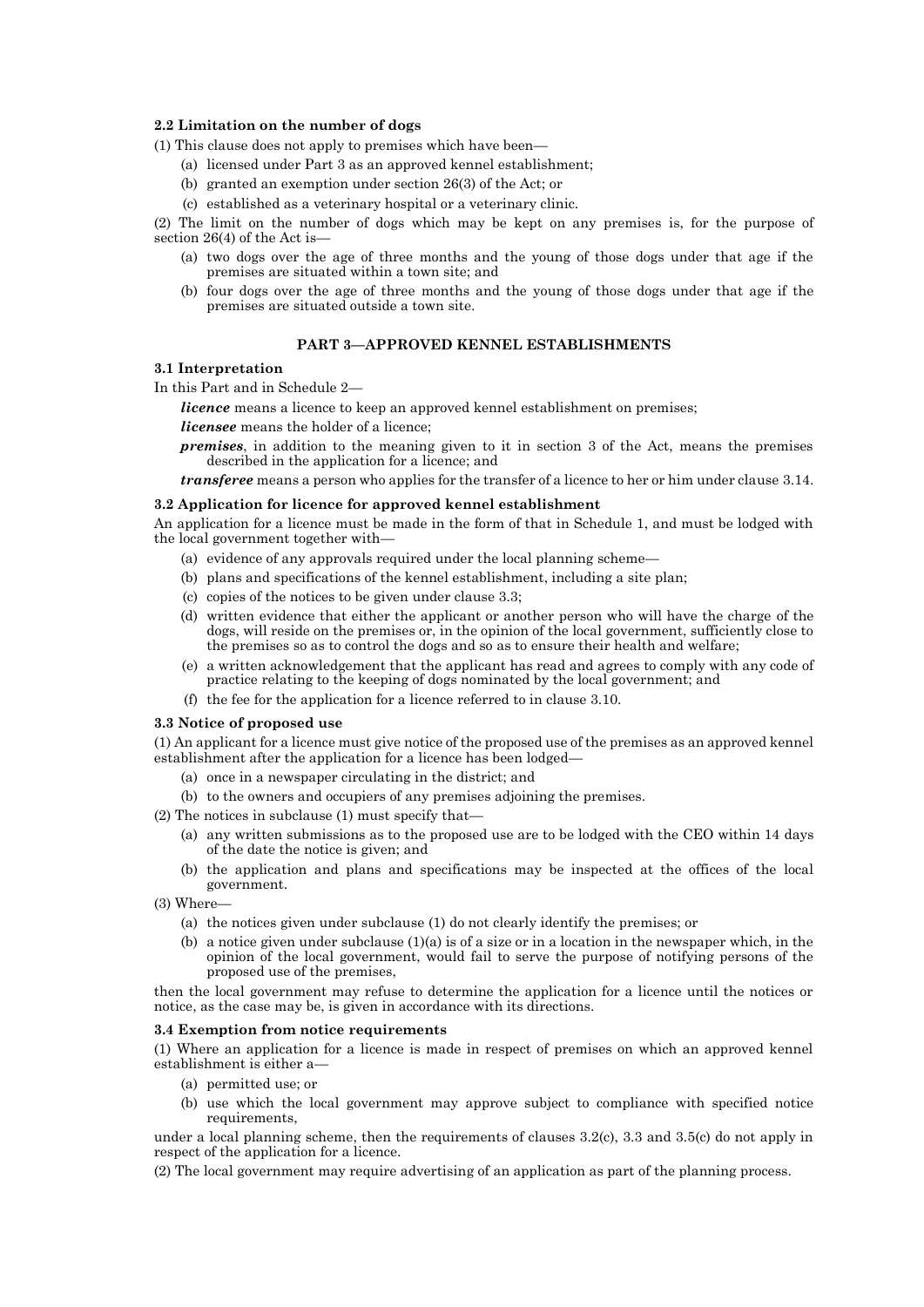## **2.2 Limitation on the number of dogs**

(1) This clause does not apply to premises which have been—

- (a) licensed under Part 3 as an approved kennel establishment;
- (b) granted an exemption under section 26(3) of the Act; or
- (c) established as a veterinary hospital or a veterinary clinic.

(2) The limit on the number of dogs which may be kept on any premises is, for the purpose of section 26(4) of the Act is—

- (a) two dogs over the age of three months and the young of those dogs under that age if the premises are situated within a town site; and
- (b) four dogs over the age of three months and the young of those dogs under that age if the premises are situated outside a town site.

### **PART 3—APPROVED KENNEL ESTABLISHMENTS**

### **3.1 Interpretation**

In this Part and in Schedule 2—

*licence* means a licence to keep an approved kennel establishment on premises;

*licensee* means the holder of a licence;

*premises*, in addition to the meaning given to it in section 3 of the Act, means the premises described in the application for a licence; and

*transferee* means a person who applies for the transfer of a licence to her or him under clause 3.14.

#### **3.2 Application for licence for approved kennel establishment**

An application for a licence must be made in the form of that in Schedule 1, and must be lodged with the local government together with—

- (a) evidence of any approvals required under the local planning scheme—
- (b) plans and specifications of the kennel establishment, including a site plan;
- (c) copies of the notices to be given under clause 3.3;
- (d) written evidence that either the applicant or another person who will have the charge of the dogs, will reside on the premises or, in the opinion of the local government, sufficiently close to the premises so as to control the dogs and so as to ensure their health and welfare;
- (e) a written acknowledgement that the applicant has read and agrees to comply with any code of practice relating to the keeping of dogs nominated by the local government; and
- (f) the fee for the application for a licence referred to in clause 3.10.

### **3.3 Notice of proposed use**

(1) An applicant for a licence must give notice of the proposed use of the premises as an approved kennel establishment after the application for a licence has been lodged—

- (a) once in a newspaper circulating in the district; and
- (b) to the owners and occupiers of any premises adjoining the premises.
- (2) The notices in subclause (1) must specify that—
	- (a) any written submissions as to the proposed use are to be lodged with the CEO within 14 days of the date the notice is given; and
	- (b) the application and plans and specifications may be inspected at the offices of the local government.
- $(3)$  Where
	- (a) the notices given under subclause (1) do not clearly identify the premises; or
	- (b) a notice given under subclause  $(1)(a)$  is of a size or in a location in the newspaper which, in the opinion of the local government, would fail to serve the purpose of notifying persons of the proposed use of the premises,

then the local government may refuse to determine the application for a licence until the notices or notice, as the case may be, is given in accordance with its directions.

### **3.4 Exemption from notice requirements**

(1) Where an application for a licence is made in respect of premises on which an approved kennel establishment is either a—

- (a) permitted use; or
- (b) use which the local government may approve subject to compliance with specified notice requirements,

under a local planning scheme, then the requirements of clauses  $3.2(c)$ ,  $3.3$  and  $3.5(c)$  do not apply in respect of the application for a licence.

(2) The local government may require advertising of an application as part of the planning process.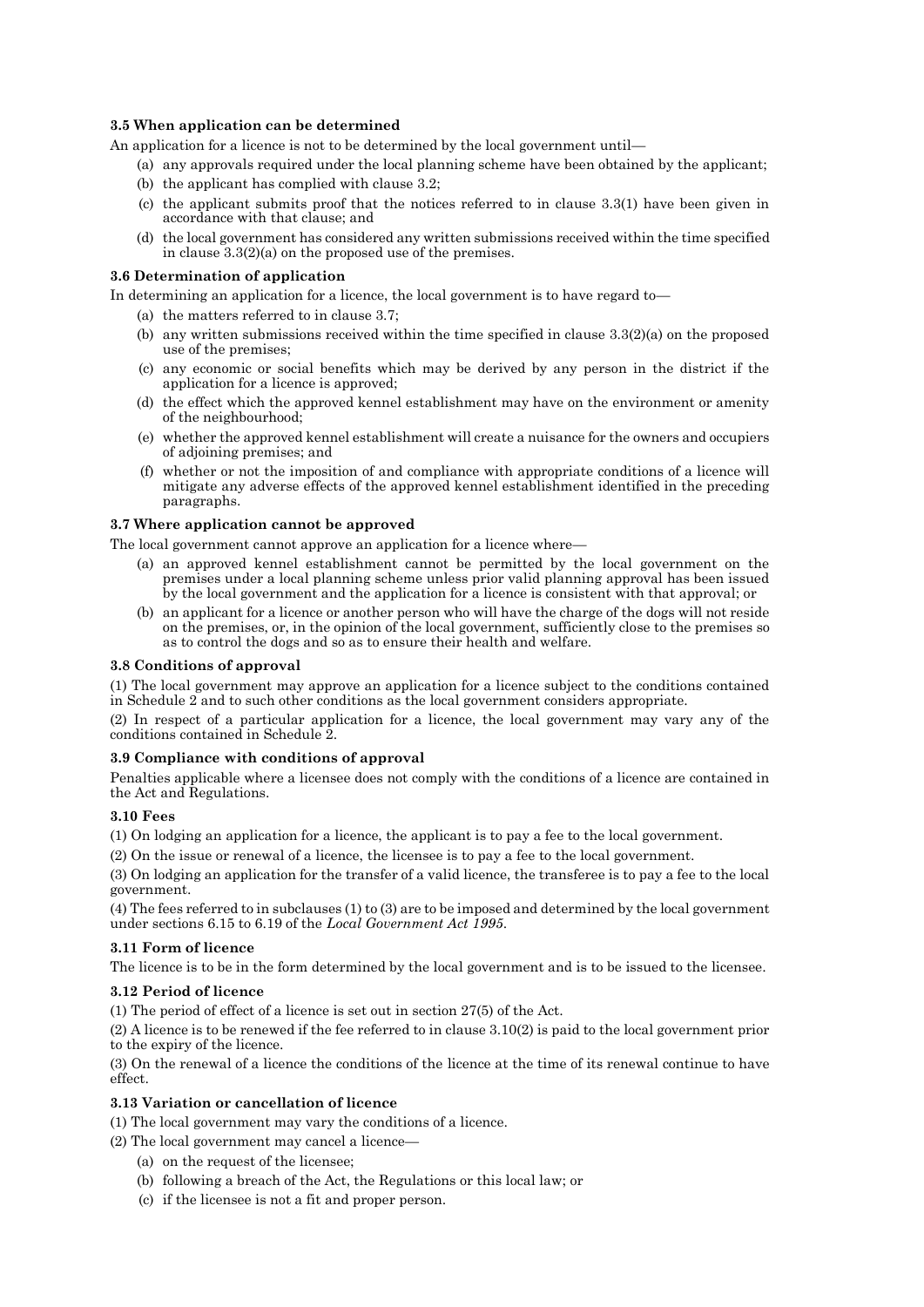# **3.5 When application can be determined**

An application for a licence is not to be determined by the local government until—

- (a) any approvals required under the local planning scheme have been obtained by the applicant;
- (b) the applicant has complied with clause 3.2;
- (c) the applicant submits proof that the notices referred to in clause 3.3(1) have been given in accordance with that clause; and
- (d) the local government has considered any written submissions received within the time specified in clause 3.3(2)(a) on the proposed use of the premises.

### **3.6 Determination of application**

In determining an application for a licence, the local government is to have regard to—

- (a) the matters referred to in clause 3.7;
- (b) any written submissions received within the time specified in clause 3.3(2)(a) on the proposed use of the premises;
- (c) any economic or social benefits which may be derived by any person in the district if the application for a licence is approved;
- (d) the effect which the approved kennel establishment may have on the environment or amenity of the neighbourhood;
- (e) whether the approved kennel establishment will create a nuisance for the owners and occupiers of adjoining premises; and
- (f) whether or not the imposition of and compliance with appropriate conditions of a licence will mitigate any adverse effects of the approved kennel establishment identified in the preceding paragraphs.

### **3.7 Where application cannot be approved**

The local government cannot approve an application for a licence where—

- (a) an approved kennel establishment cannot be permitted by the local government on the premises under a local planning scheme unless prior valid planning approval has been issued by the local government and the application for a licence is consistent with that approval; or
- (b) an applicant for a licence or another person who will have the charge of the dogs will not reside on the premises, or, in the opinion of the local government, sufficiently close to the premises so as to control the dogs and so as to ensure their health and welfare.

#### **3.8 Conditions of approval**

(1) The local government may approve an application for a licence subject to the conditions contained in Schedule 2 and to such other conditions as the local government considers appropriate.

(2) In respect of a particular application for a licence, the local government may vary any of the conditions contained in Schedule 2.

# **3.9 Compliance with conditions of approval**

Penalties applicable where a licensee does not comply with the conditions of a licence are contained in the Act and Regulations.

## **3.10 Fees**

(1) On lodging an application for a licence, the applicant is to pay a fee to the local government.

(2) On the issue or renewal of a licence, the licensee is to pay a fee to the local government.

(3) On lodging an application for the transfer of a valid licence, the transferee is to pay a fee to the local government.

(4) The fees referred to in subclauses (1) to (3) are to be imposed and determined by the local government under sections 6.15 to 6.19 of the *Local Government Act 1995*.

# **3.11 Form of licence**

The licence is to be in the form determined by the local government and is to be issued to the licensee.

## **3.12 Period of licence**

(1) The period of effect of a licence is set out in section 27(5) of the Act.

(2) A licence is to be renewed if the fee referred to in clause 3.10(2) is paid to the local government prior to the expiry of the licence.

(3) On the renewal of a licence the conditions of the licence at the time of its renewal continue to have effect.

# **3.13 Variation or cancellation of licence**

(1) The local government may vary the conditions of a licence.

(2) The local government may cancel a licence—

- (a) on the request of the licensee;
- (b) following a breach of the Act, the Regulations or this local law; or
- (c) if the licensee is not a fit and proper person.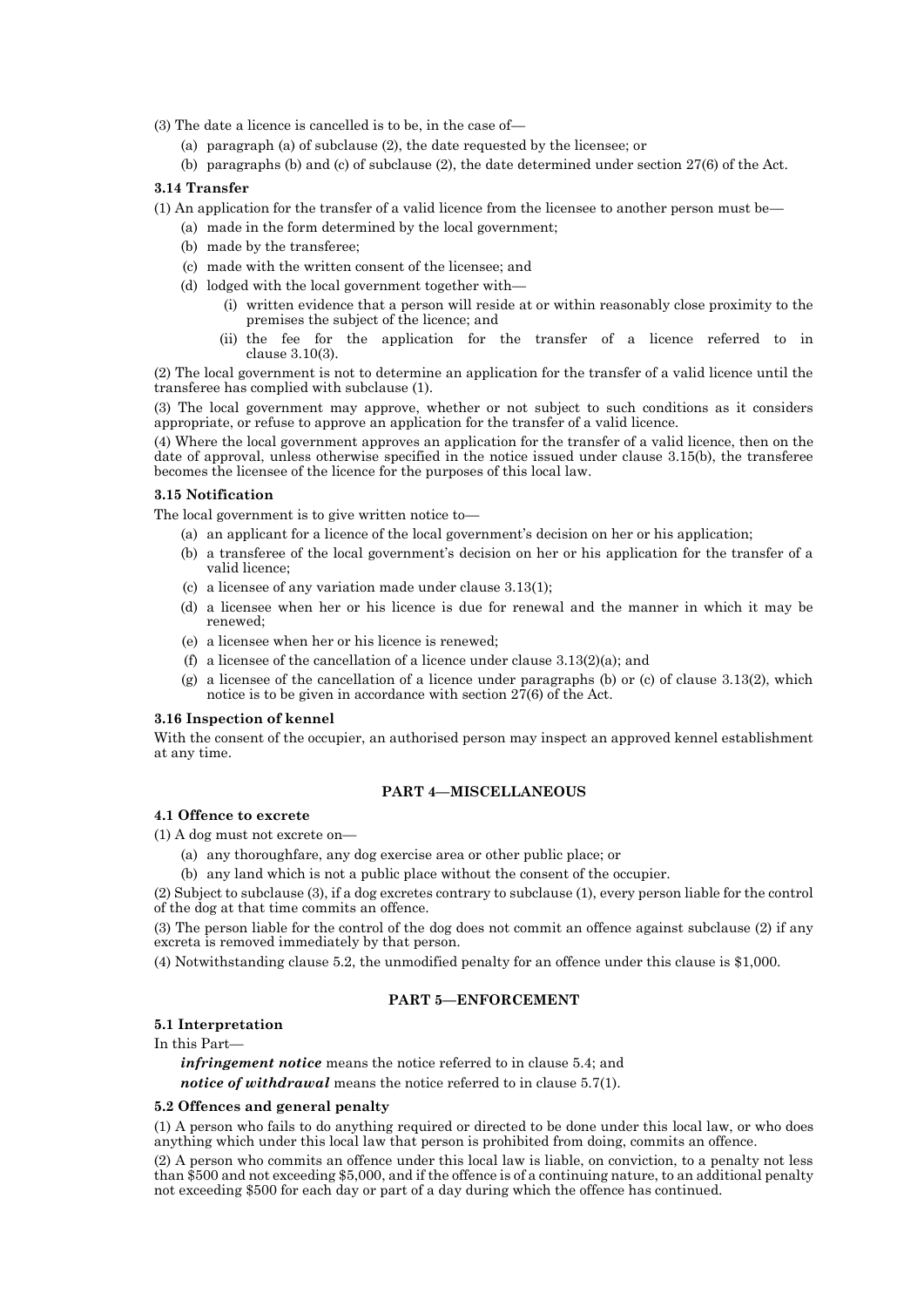(3) The date a licence is cancelled is to be, in the case of—

- (a) paragraph (a) of subclause (2), the date requested by the licensee; or
- (b) paragraphs (b) and (c) of subclause (2), the date determined under section 27(6) of the Act.

## **3.14 Transfer**

- (1) An application for the transfer of a valid licence from the licensee to another person must be—
	- (a) made in the form determined by the local government;
	- (b) made by the transferee;
	- (c) made with the written consent of the licensee; and
	- (d) lodged with the local government together with—
		- (i) written evidence that a person will reside at or within reasonably close proximity to the premises the subject of the licence; and
		- (ii) the fee for the application for the transfer of a licence referred to in clause 3.10(3).

(2) The local government is not to determine an application for the transfer of a valid licence until the transferee has complied with subclause (1).

(3) The local government may approve, whether or not subject to such conditions as it considers appropriate, or refuse to approve an application for the transfer of a valid licence.

(4) Where the local government approves an application for the transfer of a valid licence, then on the date of approval, unless otherwise specified in the notice issued under clause 3.15(b), the transferee becomes the licensee of the licence for the purposes of this local law.

### **3.15 Notification**

The local government is to give written notice to—

- (a) an applicant for a licence of the local government's decision on her or his application;
- (b) a transferee of the local government's decision on her or his application for the transfer of a valid licence;
- (c) a licensee of any variation made under clause 3.13(1);
- (d) a licensee when her or his licence is due for renewal and the manner in which it may be renewed;
- (e) a licensee when her or his licence is renewed;
- (f) a licensee of the cancellation of a licence under clause  $3.13(2)(a)$ ; and
- (g) a licensee of the cancellation of a licence under paragraphs (b) or (c) of clause 3.13(2), which notice is to be given in accordance with section 27(6) of the Act.

## **3.16 Inspection of kennel**

With the consent of the occupier, an authorised person may inspect an approved kennel establishment at any time.

# **PART 4—MISCELLANEOUS**

### **4.1 Offence to excrete**

- (1) A dog must not excrete on—
	- (a) any thoroughfare, any dog exercise area or other public place; or
	- (b) any land which is not a public place without the consent of the occupier.

(2) Subject to subclause (3), if a dog excretes contrary to subclause (1), every person liable for the control of the dog at that time commits an offence.

(3) The person liable for the control of the dog does not commit an offence against subclause (2) if any excreta is removed immediately by that person.

(4) Notwithstanding clause 5.2, the unmodified penalty for an offence under this clause is \$1,000.

# **PART 5—ENFORCEMENT**

#### **5.1 Interpretation**

In this Part—

*infringement notice* means the notice referred to in clause 5.4; and *notice of withdrawal* means the notice referred to in clause 5.7(1).

#### **5.2 Offences and general penalty**

(1) A person who fails to do anything required or directed to be done under this local law, or who does anything which under this local law that person is prohibited from doing, commits an offence.

(2) A person who commits an offence under this local law is liable, on conviction, to a penalty not less than \$500 and not exceeding \$5,000, and if the offence is of a continuing nature, to an additional penalty not exceeding \$500 for each day or part of a day during which the offence has continued.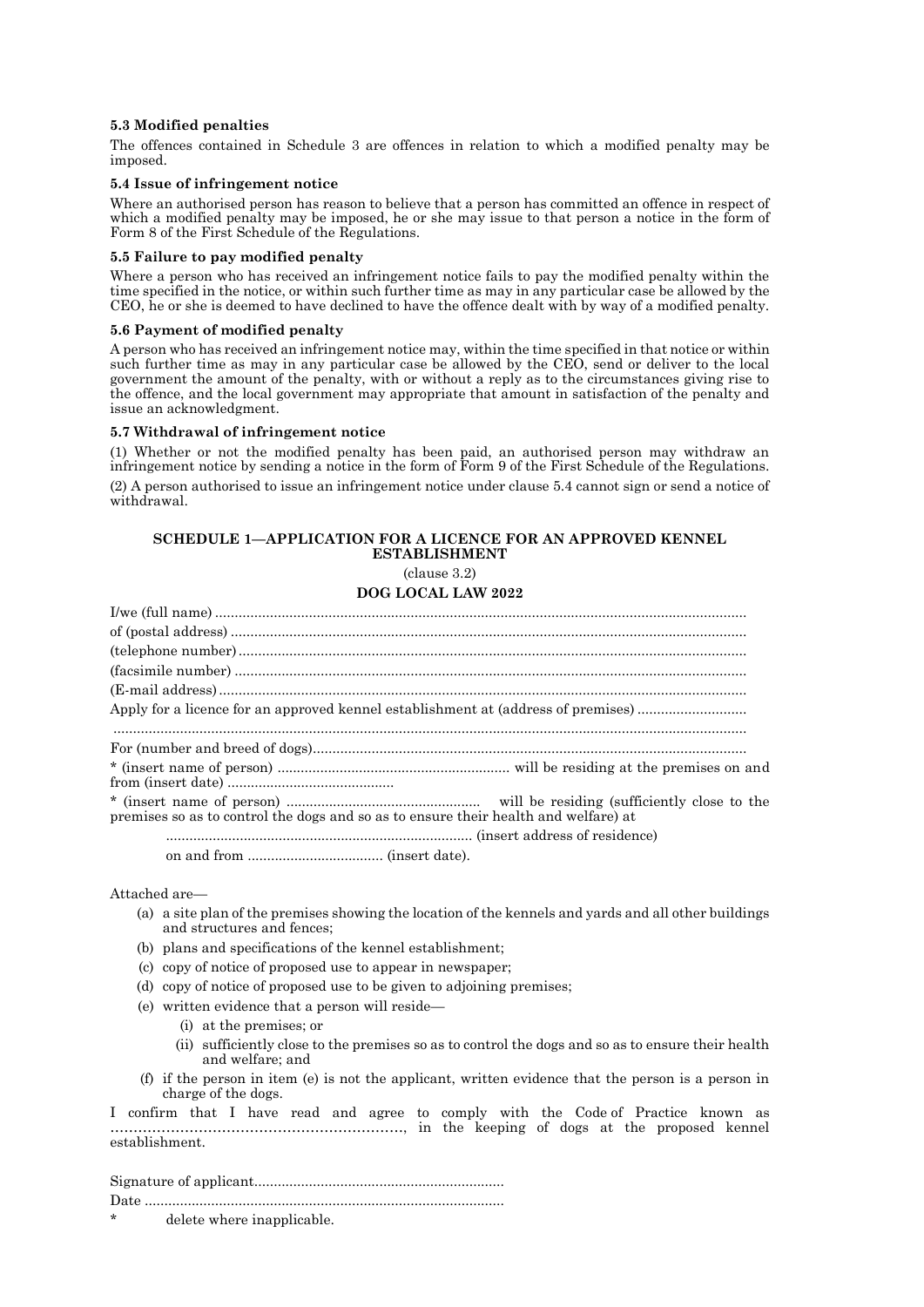## **5.3 Modified penalties**

The offences contained in Schedule 3 are offences in relation to which a modified penalty may be imposed.

## **5.4 Issue of infringement notice**

Where an authorised person has reason to believe that a person has committed an offence in respect of which a modified penalty may be imposed, he or she may issue to that person a notice in the form of Form 8 of the First Schedule of the Regulations.

#### **5.5 Failure to pay modified penalty**

Where a person who has received an infringement notice fails to pay the modified penalty within the time specified in the notice, or within such further time as may in any particular case be allowed by the CEO, he or she is deemed to have declined to have the offence dealt with by way of a modified penalty.

### **5.6 Payment of modified penalty**

A person who has received an infringement notice may, within the time specified in that notice or within such further time as may in any particular case be allowed by the CEO, send or deliver to the local government the amount of the penalty, with or without a reply as to the circumstances giving rise to the offence, and the local government may appropriate that amount in satisfaction of the penalty and issue an acknowledgment.

### **5.7 Withdrawal of infringement notice**

(1) Whether or not the modified penalty has been paid, an authorised person may withdraw an infringement notice by sending a notice in the form of Form 9 of the First Schedule of the Regulations. (2) A person authorised to issue an infringement notice under clause 5.4 cannot sign or send a notice of withdrawal.

# **SCHEDULE 1—APPLICATION FOR A LICENCE FOR AN APPROVED KENNEL ESTABLISHMENT**

(clause 3.2)

# **DOG LOCAL LAW 2022**

|                                                                                     | Apply for a licence for an approved kennel establishment at (address of premises) |
|-------------------------------------------------------------------------------------|-----------------------------------------------------------------------------------|
|                                                                                     |                                                                                   |
|                                                                                     |                                                                                   |
|                                                                                     |                                                                                   |
| premises so as to control the dogs and so as to ensure their health and welfare) at |                                                                                   |
|                                                                                     |                                                                                   |
|                                                                                     |                                                                                   |

Attached are—

- (a) a site plan of the premises showing the location of the kennels and yards and all other buildings and structures and fences;
- (b) plans and specifications of the kennel establishment;
- (c) copy of notice of proposed use to appear in newspaper;
- (d) copy of notice of proposed use to be given to adjoining premises;
- (e) written evidence that a person will reside—
	- (i) at the premises; or
	- (ii) sufficiently close to the premises so as to control the dogs and so as to ensure their health and welfare; and
- (f) if the person in item (e) is not the applicant, written evidence that the person is a person in charge of the dogs.

I confirm that I have read and agree to comply with the Code of Practice known as ………………………………………………………, in the keeping of dogs at the proposed kennel establishment.

| $\star$ | delete where inapplicable. |
|---------|----------------------------|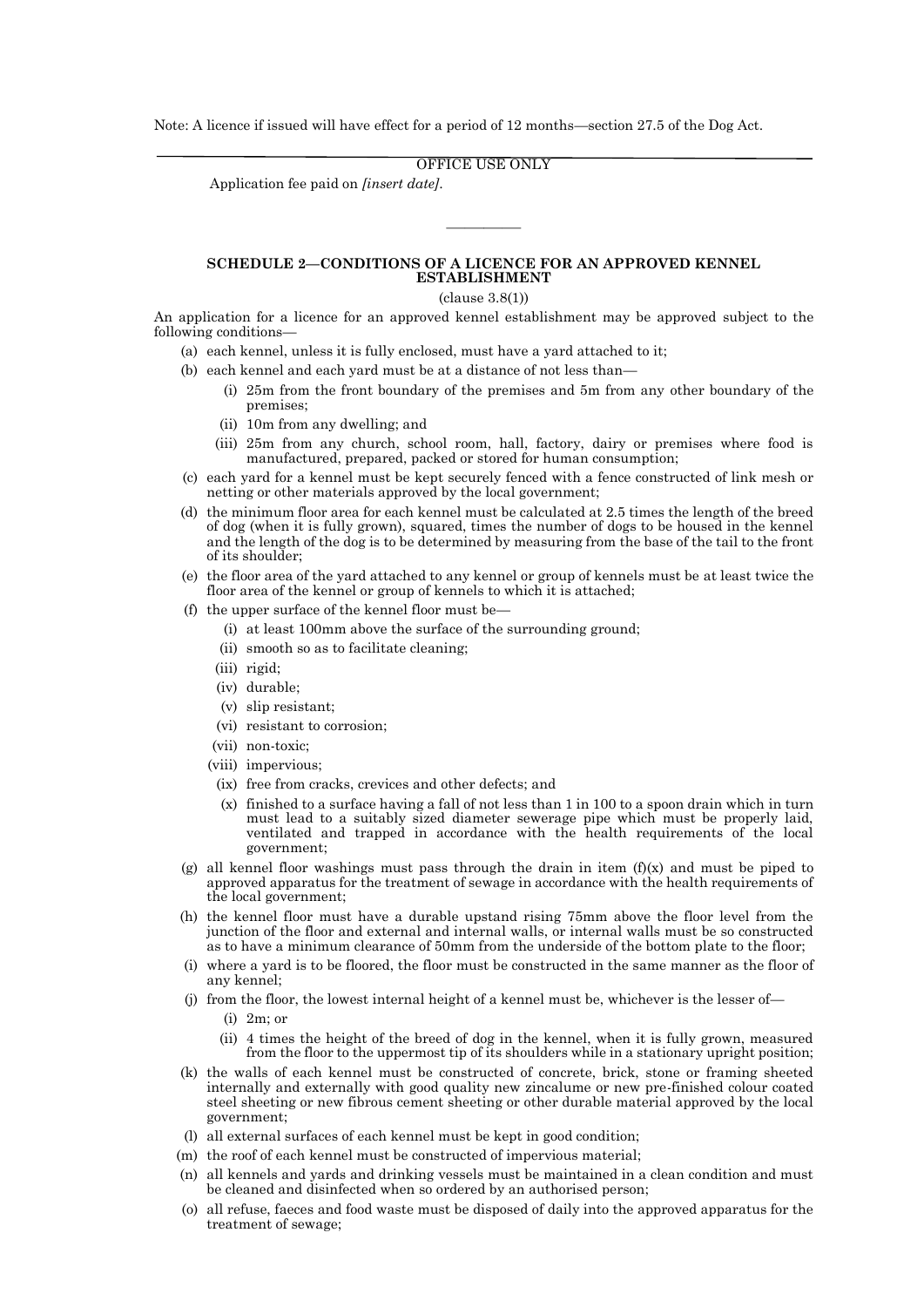Note: A licence if issued will have effect for a period of 12 months—section 27.5 of the Dog Act.

OFFICE USE ONLY

Application fee paid on *[insert date]*.

## **SCHEDULE 2—CONDITIONS OF A LICENCE FOR AN APPROVED KENNEL ESTABLISHMENT**

————

(clause 3.8(1))

An application for a licence for an approved kennel establishment may be approved subject to the following conditions—

- (a) each kennel, unless it is fully enclosed, must have a yard attached to it;
- (b) each kennel and each yard must be at a distance of not less than—
	- (i) 25m from the front boundary of the premises and 5m from any other boundary of the premises;
	- (ii) 10m from any dwelling; and
	- (iii) 25m from any church, school room, hall, factory, dairy or premises where food is manufactured, prepared, packed or stored for human consumption;
- (c) each yard for a kennel must be kept securely fenced with a fence constructed of link mesh or netting or other materials approved by the local government;
- (d) the minimum floor area for each kennel must be calculated at 2.5 times the length of the breed of dog (when it is fully grown), squared, times the number of dogs to be housed in the kennel and the length of the dog is to be determined by measuring from the base of the tail to the front of its shoulder;
- (e) the floor area of the yard attached to any kennel or group of kennels must be at least twice the floor area of the kennel or group of kennels to which it is attached;
- (f) the upper surface of the kennel floor must be—
	- (i) at least 100mm above the surface of the surrounding ground;
	- (ii) smooth so as to facilitate cleaning;
	- (iii) rigid;
	- (iv) durable;
	- (v) slip resistant;
	- (vi) resistant to corrosion;
	- (vii) non-toxic;
	- (viii) impervious;
	- (ix) free from cracks, crevices and other defects; and
	- (x) finished to a surface having a fall of not less than 1 in 100 to a spoon drain which in turn must lead to a suitably sized diameter sewerage pipe which must be properly laid, ventilated and trapped in accordance with the health requirements of the local government;
- (g) all kennel floor washings must pass through the drain in item  $(f)(x)$  and must be piped to approved apparatus for the treatment of sewage in accordance with the health requirements of the local government;
- (h) the kennel floor must have a durable upstand rising 75mm above the floor level from the junction of the floor and external and internal walls, or internal walls must be so constructed as to have a minimum clearance of 50mm from the underside of the bottom plate to the floor;
- (i) where a yard is to be floored, the floor must be constructed in the same manner as the floor of any kennel;
- (j) from the floor, the lowest internal height of a kennel must be, whichever is the lesser of—
	- (i) 2m; or
	- (ii) 4 times the height of the breed of dog in the kennel, when it is fully grown, measured from the floor to the uppermost tip of its shoulders while in a stationary upright position;
- (k) the walls of each kennel must be constructed of concrete, brick, stone or framing sheeted internally and externally with good quality new zincalume or new pre-finished colour coated steel sheeting or new fibrous cement sheeting or other durable material approved by the local government;
- (l) all external surfaces of each kennel must be kept in good condition;
- (m) the roof of each kennel must be constructed of impervious material;
- (n) all kennels and yards and drinking vessels must be maintained in a clean condition and must be cleaned and disinfected when so ordered by an authorised person;
- (o) all refuse, faeces and food waste must be disposed of daily into the approved apparatus for the treatment of sewage;